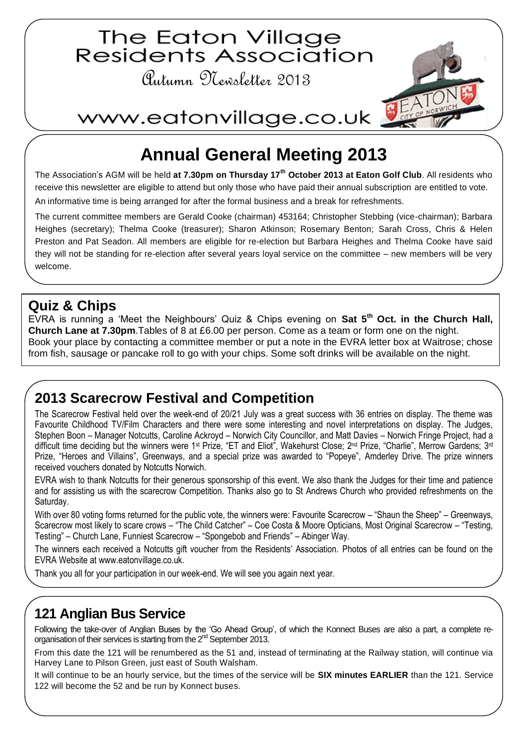

# **Annual General Meeting 2013**

The Association's AGM will be held **at 7.30pm on Thursday 17th October 2013 at Eaton Golf Club**. All residents who receive this newsletter are eligible to attend but only those who have paid their annual subscription are entitled to vote. An informative time is being arranged for after the formal business and a break for refreshments.

The current committee members are Gerald Cooke (chairman) 453164; Christopher Stebbing (vice-chairman); Barbara Heighes (secretary); Thelma Cooke (treasurer); Sharon Atkinson; Rosemary Benton; Sarah Cross, Chris & Helen Preston and Pat Seadon. All members are eligible for re-election but Barbara Heighes and Thelma Cooke have said they will not be standing for re-election after several years loyal service on the committee – new members will be very welcome.

#### **Quiz & Chips**

EVRA is running a 'Meet the Neighbours' Quiz & Chips evening on **Sat 5th Oct. in the Church Hall, Church Lane at 7.30pm**.Tables of 8 at £6.00 per person. Come as a team or form one on the night. Book your place by contacting a committee member or put a note in the EVRA letter box at Waitrose; chose from fish, sausage or pancake roll to go with your chips. Some soft drinks will be available on the night.

## **2013 Scarecrow Festival and Competition**

The Scarecrow Festival held over the week-end of 20/21 July was a great success with 36 entries on display. The theme was Favourite Childhood TV/Film Characters and there were some interesting and novel interpretations on display. The Judges, Stephen Boon – Manager Notcutts, Caroline Ackroyd – Norwich City Councillor, and Matt Davies – Norwich Fringe Project, had a difficult time deciding but the winners were 1<sup>st</sup> Prize, "ET and Eliot", Wakehurst Close; 2<sup>nd</sup> Prize, "Charlie", Merrow Gardens; 3<sup>rd</sup> Prize, "Heroes and Villains", Greenways, and a special prize was awarded to "Popeye", Amderley Drive. The prize winners received vouchers donated by Notcutts Norwich.

EVRA wish to thank Notcutts for their generous sponsorship of this event. We also thank the Judges for their time and patience and for assisting us with the scarecrow Competition. Thanks also go to St Andrews Church who provided refreshments on the Saturday.

With over 80 voting forms returned for the public vote, the winners were: Favourite Scarecrow – "Shaun the Sheep" – Greenways, Scarecrow most likely to scare crows – "The Child Catcher" – Coe Costa & Moore Opticians, Most Original Scarecrow – "Testing, Testing" – Church Lane, Funniest Scarecrow – "Spongebob and Friends" – Abinger Way.

The winners each received a Notcutts gift voucher from the Residents' Association. Photos of all entries can be found on the EVRA Website a[t www.eatonvillage.co.uk.](http://www.eatonvillage.co.uk/)

Thank you all for your participation in our week-end. We will see you again next year.

## **121 Anglian Bus Service**

Following the take-over of Anglian Buses by the 'Go Ahead Group', of which the Konnect Buses are also a part, a complete reorganisation of their services is starting from the 2nd September 2013.

From this date the 121 will be renumbered as the 51 and, instead of terminating at the Railway station, will continue via Harvey Lane to Pilson Green, just east of South Walsham.

It will continue to be an hourly service, but the times of the service will be **SIX minutes EARLIER** than the 121. Service 122 will become the 52 and be run by Konnect buses.